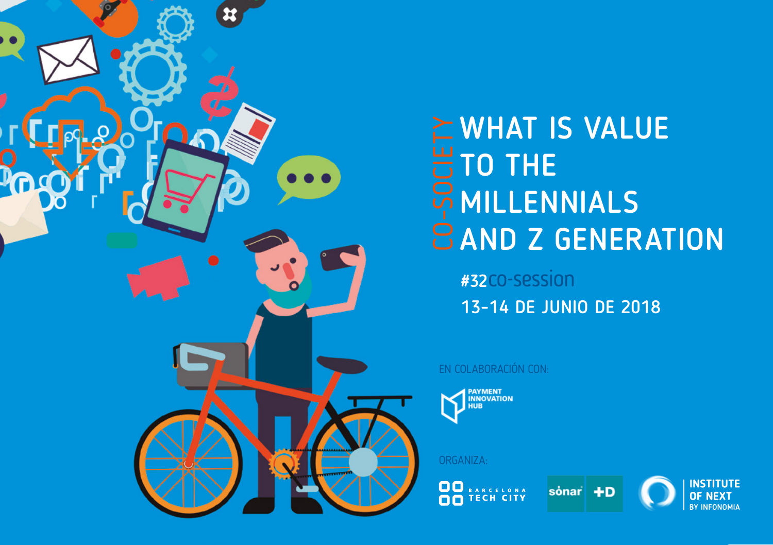

# $\succeq$  WHAT IS VALUE TO THE MILLENNIALS **BAND Z GENERATION**

#32CO-Session 13-14 DE JUNIO DE 2018

#### EN COLABORACIÓN CON:



#### ORGANIZA:

**OO** BARCELONA





**INSTITUTE**